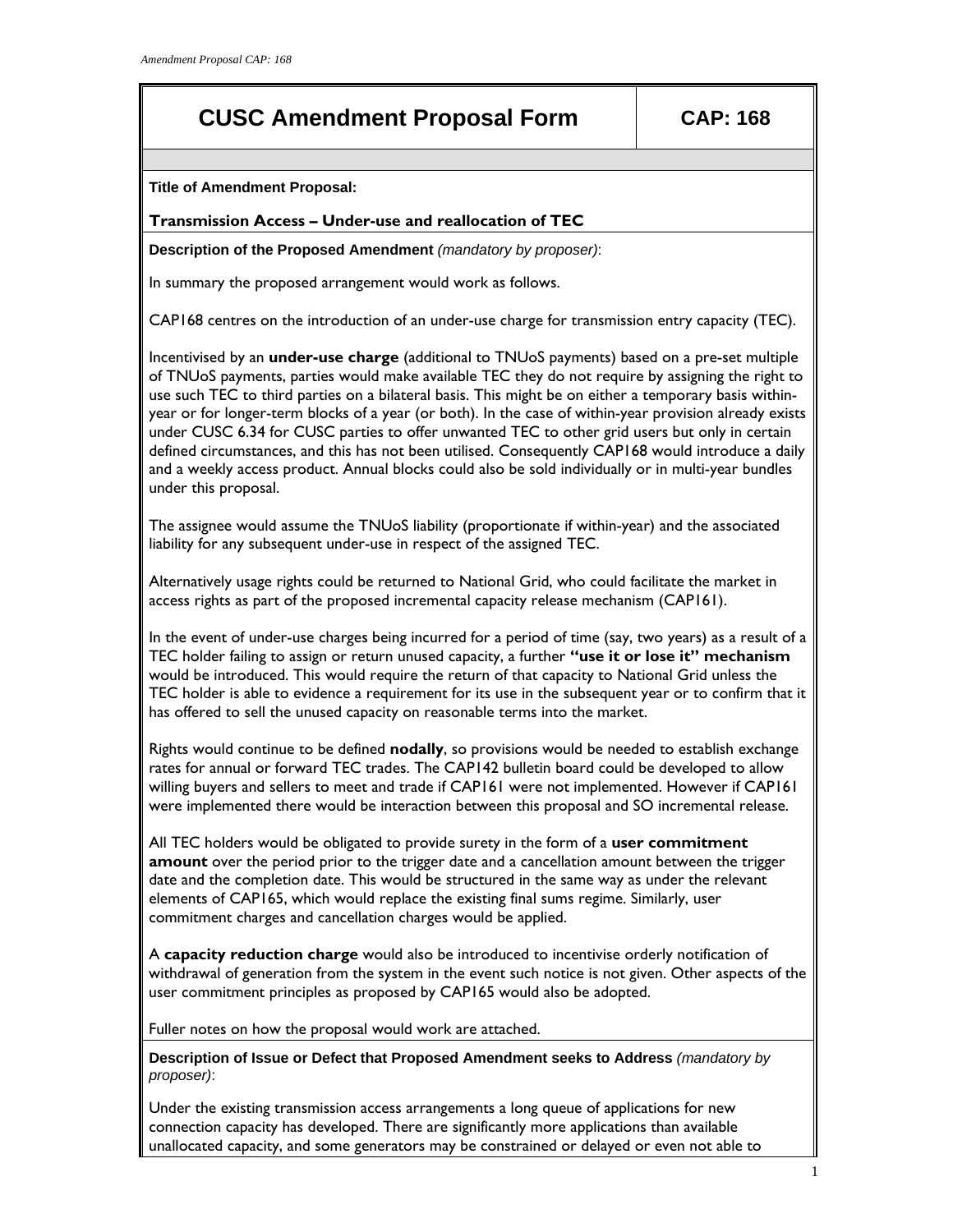# **CUSC Amendment Proposal Form CAP: 168**

**Title of Amendment Proposal:** 

### **Transmission Access – Under-use and reallocation of TEC**

**Description of the Proposed Amendment** *(mandatory by proposer)*:

In summary the proposed arrangement would work as follows.

CAP168 centres on the introduction of an under-use charge for transmission entry capacity (TEC).

Incentivised by an **under-use charge** (additional to TNUoS payments) based on a pre-set multiple of TNUoS payments, parties would make available TEC they do not require by assigning the right to use such TEC to third parties on a bilateral basis. This might be on either a temporary basis withinyear or for longer-term blocks of a year (or both). In the case of within-year provision already exists under CUSC 6.34 for CUSC parties to offer unwanted TEC to other grid users but only in certain defined circumstances, and this has not been utilised. Consequently CAP168 would introduce a daily and a weekly access product. Annual blocks could also be sold individually or in multi-year bundles under this proposal.

The assignee would assume the TNUoS liability (proportionate if within-year) and the associated liability for any subsequent under-use in respect of the assigned TEC.

Alternatively usage rights could be returned to National Grid, who could facilitate the market in access rights as part of the proposed incremental capacity release mechanism (CAP161).

In the event of under-use charges being incurred for a period of time (say, two years) as a result of a TEC holder failing to assign or return unused capacity, a further **"use it or lose it" mechanism** would be introduced. This would require the return of that capacity to National Grid unless the TEC holder is able to evidence a requirement for its use in the subsequent year or to confirm that it has offered to sell the unused capacity on reasonable terms into the market.

Rights would continue to be defined **nodally**, so provisions would be needed to establish exchange rates for annual or forward TEC trades. The CAP142 bulletin board could be developed to allow willing buyers and sellers to meet and trade if CAP161 were not implemented. However if CAP161 were implemented there would be interaction between this proposal and SO incremental release.

All TEC holders would be obligated to provide surety in the form of a **user commitment amount** over the period prior to the trigger date and a cancellation amount between the trigger date and the completion date. This would be structured in the same way as under the relevant elements of CAP165, which would replace the existing final sums regime. Similarly, user commitment charges and cancellation charges would be applied.

A **capacity reduction charge** would also be introduced to incentivise orderly notification of withdrawal of generation from the system in the event such notice is not given. Other aspects of the user commitment principles as proposed by CAP165 would also be adopted.

Fuller notes on how the proposal would work are attached.

**Description of Issue or Defect that Proposed Amendment seeks to Address** *(mandatory by proposer)*:

Under the existing transmission access arrangements a long queue of applications for new connection capacity has developed. There are significantly more applications than available unallocated capacity, and some generators may be constrained or delayed or even not able to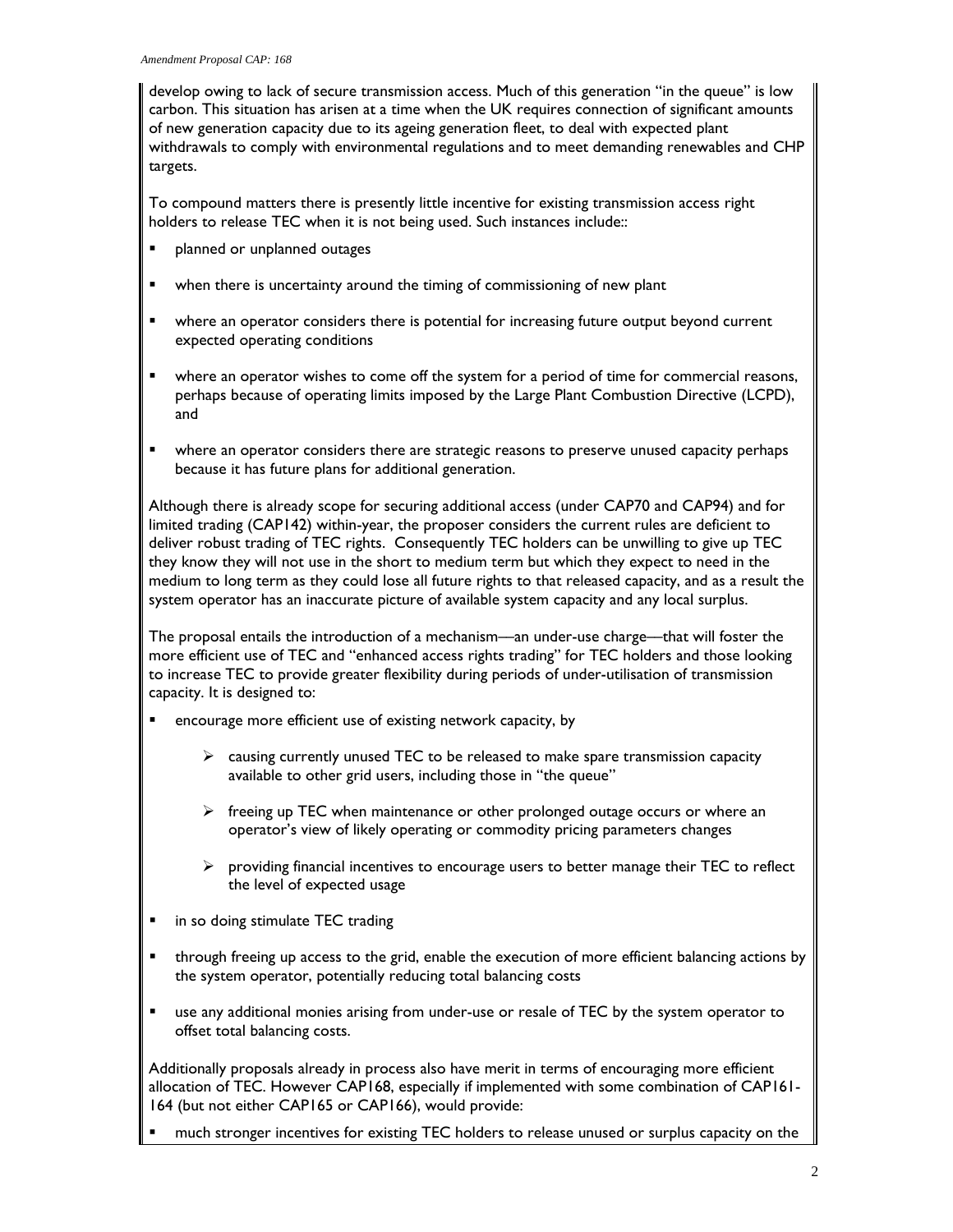develop owing to lack of secure transmission access. Much of this generation "in the queue" is low carbon. This situation has arisen at a time when the UK requires connection of significant amounts of new generation capacity due to its ageing generation fleet, to deal with expected plant withdrawals to comply with environmental regulations and to meet demanding renewables and CHP targets.

To compound matters there is presently little incentive for existing transmission access right holders to release TEC when it is not being used. Such instances include::

- planned or unplanned outages
- when there is uncertainty around the timing of commissioning of new plant
- where an operator considers there is potential for increasing future output beyond current expected operating conditions
- where an operator wishes to come off the system for a period of time for commercial reasons, perhaps because of operating limits imposed by the Large Plant Combustion Directive (LCPD), and
- **•** where an operator considers there are strategic reasons to preserve unused capacity perhaps because it has future plans for additional generation.

Although there is already scope for securing additional access (under CAP70 and CAP94) and for limited trading (CAP142) within-year, the proposer considers the current rules are deficient to deliver robust trading of TEC rights. Consequently TEC holders can be unwilling to give up TEC they know they will not use in the short to medium term but which they expect to need in the medium to long term as they could lose all future rights to that released capacity, and as a result the system operator has an inaccurate picture of available system capacity and any local surplus.

The proposal entails the introduction of a mechanism––an under-use charge––that will foster the more efficient use of TEC and "enhanced access rights trading" for TEC holders and those looking to increase TEC to provide greater flexibility during periods of under-utilisation of transmission capacity. It is designed to:

- encourage more efficient use of existing network capacity, by
	- $\triangleright$  causing currently unused TEC to be released to make spare transmission capacity available to other grid users, including those in "the queue"
	- $\triangleright$  freeing up TEC when maintenance or other prolonged outage occurs or where an operator's view of likely operating or commodity pricing parameters changes
	- $\triangleright$  providing financial incentives to encourage users to better manage their TEC to reflect the level of expected usage
- **n** in so doing stimulate TEC trading
- through freeing up access to the grid, enable the execution of more efficient balancing actions by the system operator, potentially reducing total balancing costs
- use any additional monies arising from under-use or resale of TEC by the system operator to offset total balancing costs.

Additionally proposals already in process also have merit in terms of encouraging more efficient allocation of TEC. However CAP168, especially if implemented with some combination of CAP161- 164 (but not either CAP165 or CAP166), would provide:

much stronger incentives for existing TEC holders to release unused or surplus capacity on the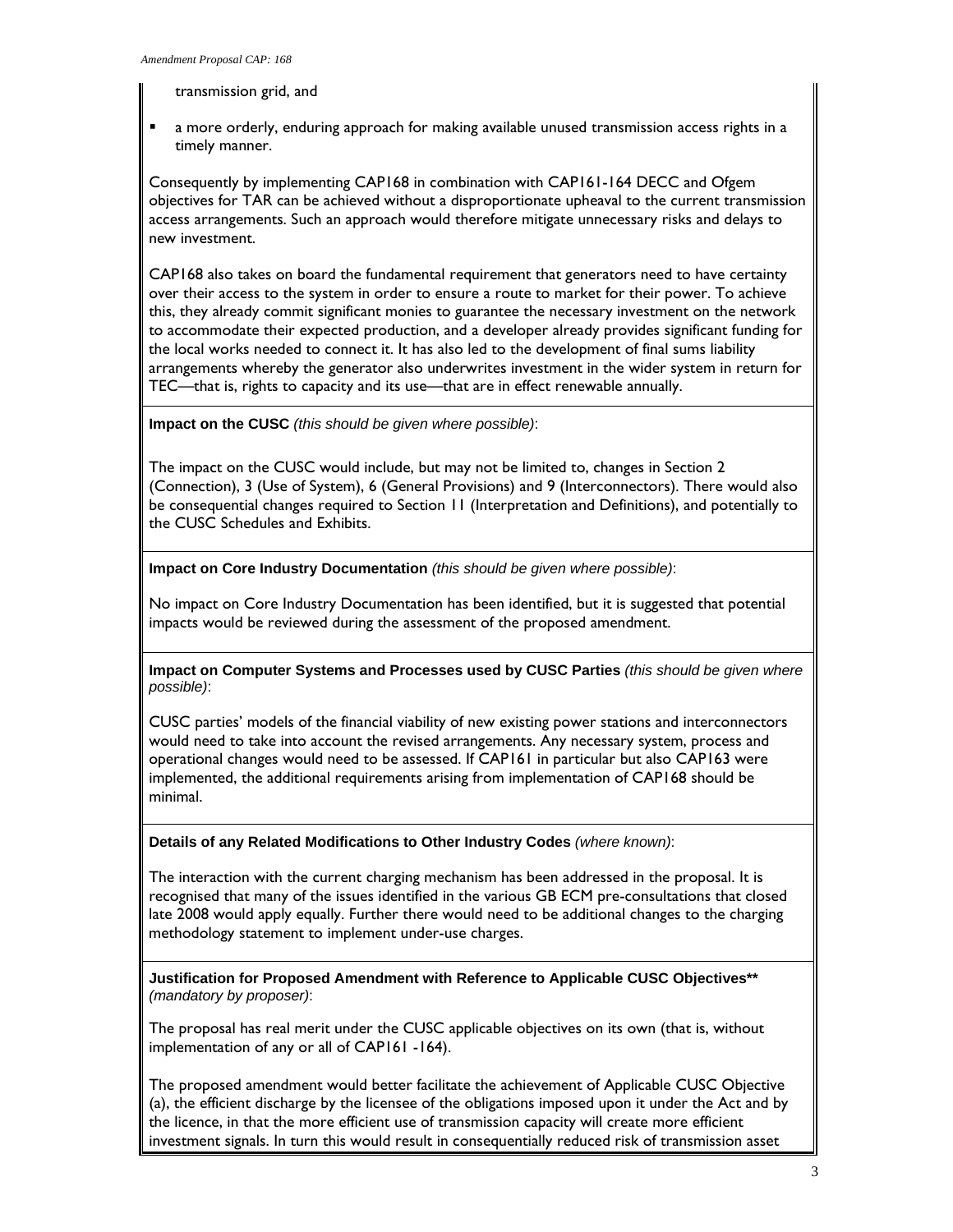transmission grid, and

 a more orderly, enduring approach for making available unused transmission access rights in a timely manner.

Consequently by implementing CAP168 in combination with CAP161-164 DECC and Ofgem objectives for TAR can be achieved without a disproportionate upheaval to the current transmission access arrangements. Such an approach would therefore mitigate unnecessary risks and delays to new investment.

CAP168 also takes on board the fundamental requirement that generators need to have certainty over their access to the system in order to ensure a route to market for their power. To achieve this, they already commit significant monies to guarantee the necessary investment on the network to accommodate their expected production, and a developer already provides significant funding for the local works needed to connect it. It has also led to the development of final sums liability arrangements whereby the generator also underwrites investment in the wider system in return for TEC—that is, rights to capacity and its use—that are in effect renewable annually.

**Impact on the CUSC** *(this should be given where possible)*:

The impact on the CUSC would include, but may not be limited to, changes in Section 2 (Connection), 3 (Use of System), 6 (General Provisions) and 9 (Interconnectors). There would also be consequential changes required to Section 11 (Interpretation and Definitions), and potentially to the CUSC Schedules and Exhibits.

**Impact on Core Industry Documentation** *(this should be given where possible)*:

No impact on Core Industry Documentation has been identified, but it is suggested that potential impacts would be reviewed during the assessment of the proposed amendment.

**Impact on Computer Systems and Processes used by CUSC Parties** *(this should be given where possible)*:

CUSC parties' models of the financial viability of new existing power stations and interconnectors would need to take into account the revised arrangements. Any necessary system, process and operational changes would need to be assessed. If CAP161 in particular but also CAP163 were implemented, the additional requirements arising from implementation of CAP168 should be minimal.

**Details of any Related Modifications to Other Industry Codes** *(where known)*:

The interaction with the current charging mechanism has been addressed in the proposal. It is recognised that many of the issues identified in the various GB ECM pre-consultations that closed late 2008 would apply equally. Further there would need to be additional changes to the charging methodology statement to implement under-use charges.

**Justification for Proposed Amendment with Reference to Applicable CUSC Objectives\*\***  *(mandatory by proposer)*:

The proposal has real merit under the CUSC applicable objectives on its own (that is, without implementation of any or all of CAP161 -164).

The proposed amendment would better facilitate the achievement of Applicable CUSC Objective (a), the efficient discharge by the licensee of the obligations imposed upon it under the Act and by the licence, in that the more efficient use of transmission capacity will create more efficient investment signals. In turn this would result in consequentially reduced risk of transmission asset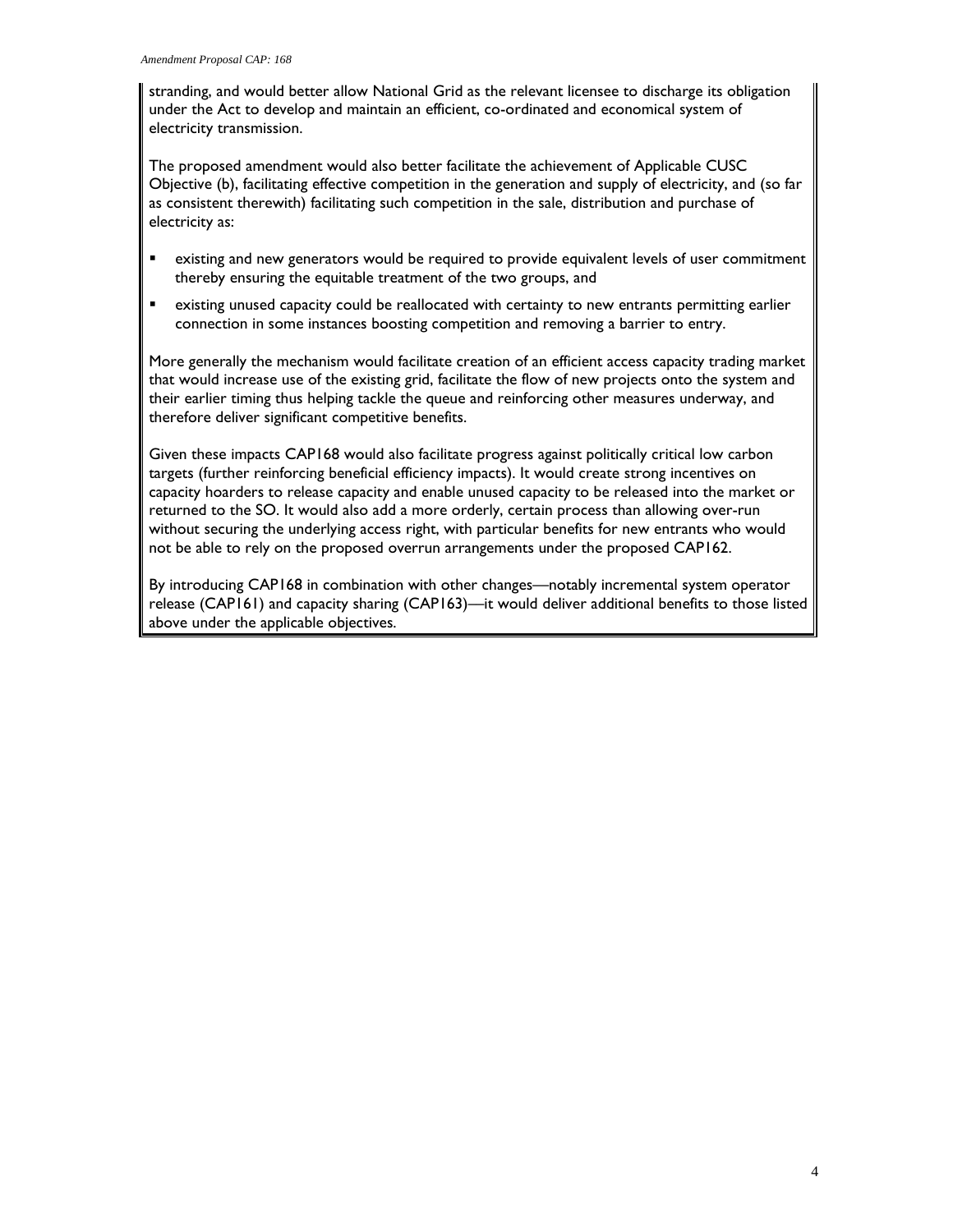stranding, and would better allow National Grid as the relevant licensee to discharge its obligation under the Act to develop and maintain an efficient, co-ordinated and economical system of electricity transmission.

The proposed amendment would also better facilitate the achievement of Applicable CUSC Objective (b), facilitating effective competition in the generation and supply of electricity, and (so far as consistent therewith) facilitating such competition in the sale, distribution and purchase of electricity as:

- existing and new generators would be required to provide equivalent levels of user commitment thereby ensuring the equitable treatment of the two groups, and
- existing unused capacity could be reallocated with certainty to new entrants permitting earlier connection in some instances boosting competition and removing a barrier to entry.

More generally the mechanism would facilitate creation of an efficient access capacity trading market that would increase use of the existing grid, facilitate the flow of new projects onto the system and their earlier timing thus helping tackle the queue and reinforcing other measures underway, and therefore deliver significant competitive benefits.

Given these impacts CAP168 would also facilitate progress against politically critical low carbon targets (further reinforcing beneficial efficiency impacts). It would create strong incentives on capacity hoarders to release capacity and enable unused capacity to be released into the market or returned to the SO. It would also add a more orderly, certain process than allowing over-run without securing the underlying access right, with particular benefits for new entrants who would not be able to rely on the proposed overrun arrangements under the proposed CAP162.

By introducing CAP168 in combination with other changes—notably incremental system operator release (CAP161) and capacity sharing (CAP163)—it would deliver additional benefits to those listed above under the applicable objectives.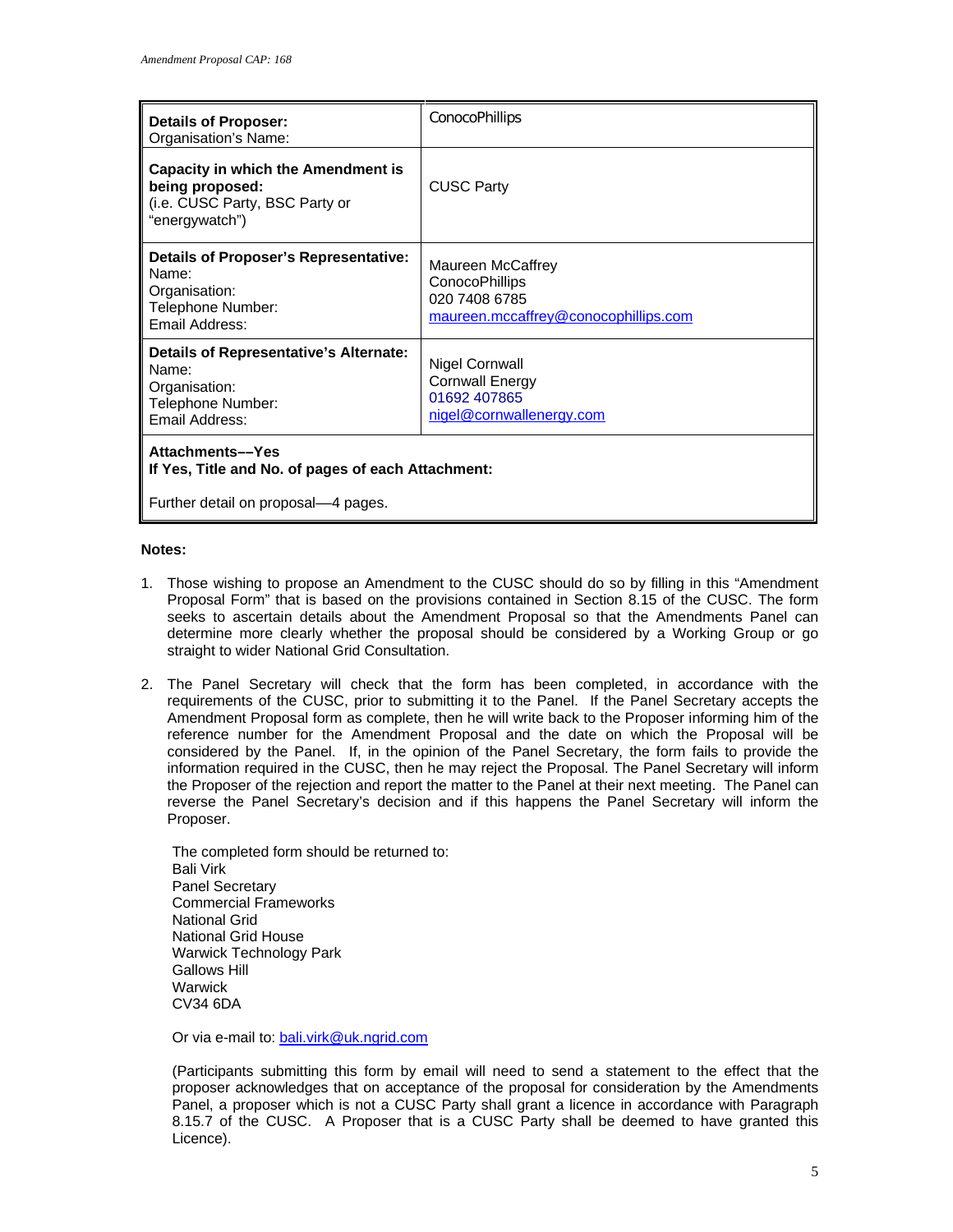| <b>Details of Proposer:</b><br>Organisation's Name:                                                              | <b>ConocoPhillips</b>                                                                               |
|------------------------------------------------------------------------------------------------------------------|-----------------------------------------------------------------------------------------------------|
| <b>Capacity in which the Amendment is</b><br>being proposed:<br>(i.e. CUSC Party, BSC Party or<br>"energywatch") | <b>CUSC Party</b>                                                                                   |
| <b>Details of Proposer's Representative:</b><br>Name:<br>Organisation:<br>Telephone Number:<br>Email Address:    | Maureen McCaffrey<br><b>ConocoPhillips</b><br>020 7408 6785<br>maureen.mccaffrey@conocophillips.com |
| <b>Details of Representative's Alternate:</b><br>Name:<br>Organisation:<br>Telephone Number:<br>Email Address:   | Nigel Cornwall<br><b>Cornwall Energy</b><br>01692 407865<br>nigel@cornwallenergy.com                |
| Attachments-Yes<br>If Yes, Title and No. of pages of each Attachment:                                            |                                                                                                     |
| Further detail on proposal—4 pages.                                                                              |                                                                                                     |

#### **Notes:**

- 1. Those wishing to propose an Amendment to the CUSC should do so by filling in this "Amendment Proposal Form" that is based on the provisions contained in Section 8.15 of the CUSC. The form seeks to ascertain details about the Amendment Proposal so that the Amendments Panel can determine more clearly whether the proposal should be considered by a Working Group or go straight to wider National Grid Consultation.
- 2. The Panel Secretary will check that the form has been completed, in accordance with the requirements of the CUSC, prior to submitting it to the Panel. If the Panel Secretary accepts the Amendment Proposal form as complete, then he will write back to the Proposer informing him of the reference number for the Amendment Proposal and the date on which the Proposal will be considered by the Panel. If, in the opinion of the Panel Secretary, the form fails to provide the information required in the CUSC, then he may reject the Proposal. The Panel Secretary will inform the Proposer of the rejection and report the matter to the Panel at their next meeting. The Panel can reverse the Panel Secretary's decision and if this happens the Panel Secretary will inform the Proposer.

The completed form should be returned to: Bali Virk Panel Secretary Commercial Frameworks National Grid National Grid House Warwick Technology Park Gallows Hill **Warwick** CV34 6DA

Or via e-mail to: bali.virk@uk.ngrid.com

(Participants submitting this form by email will need to send a statement to the effect that the proposer acknowledges that on acceptance of the proposal for consideration by the Amendments Panel, a proposer which is not a CUSC Party shall grant a licence in accordance with Paragraph 8.15.7 of the CUSC. A Proposer that is a CUSC Party shall be deemed to have granted this Licence).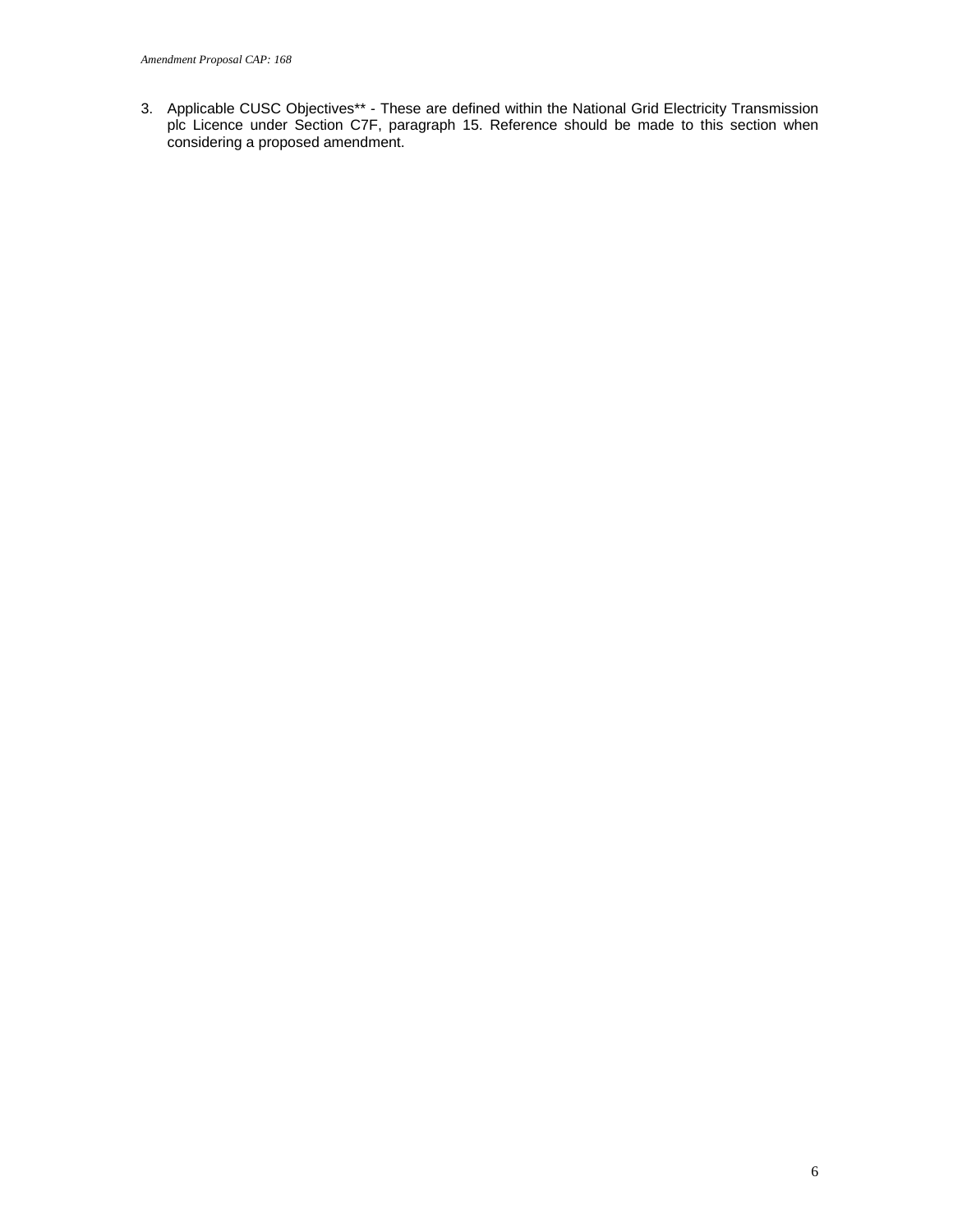3. Applicable CUSC Objectives\*\* - These are defined within the National Grid Electricity Transmission plc Licence under Section C7F, paragraph 15. Reference should be made to this section when considering a proposed amendment.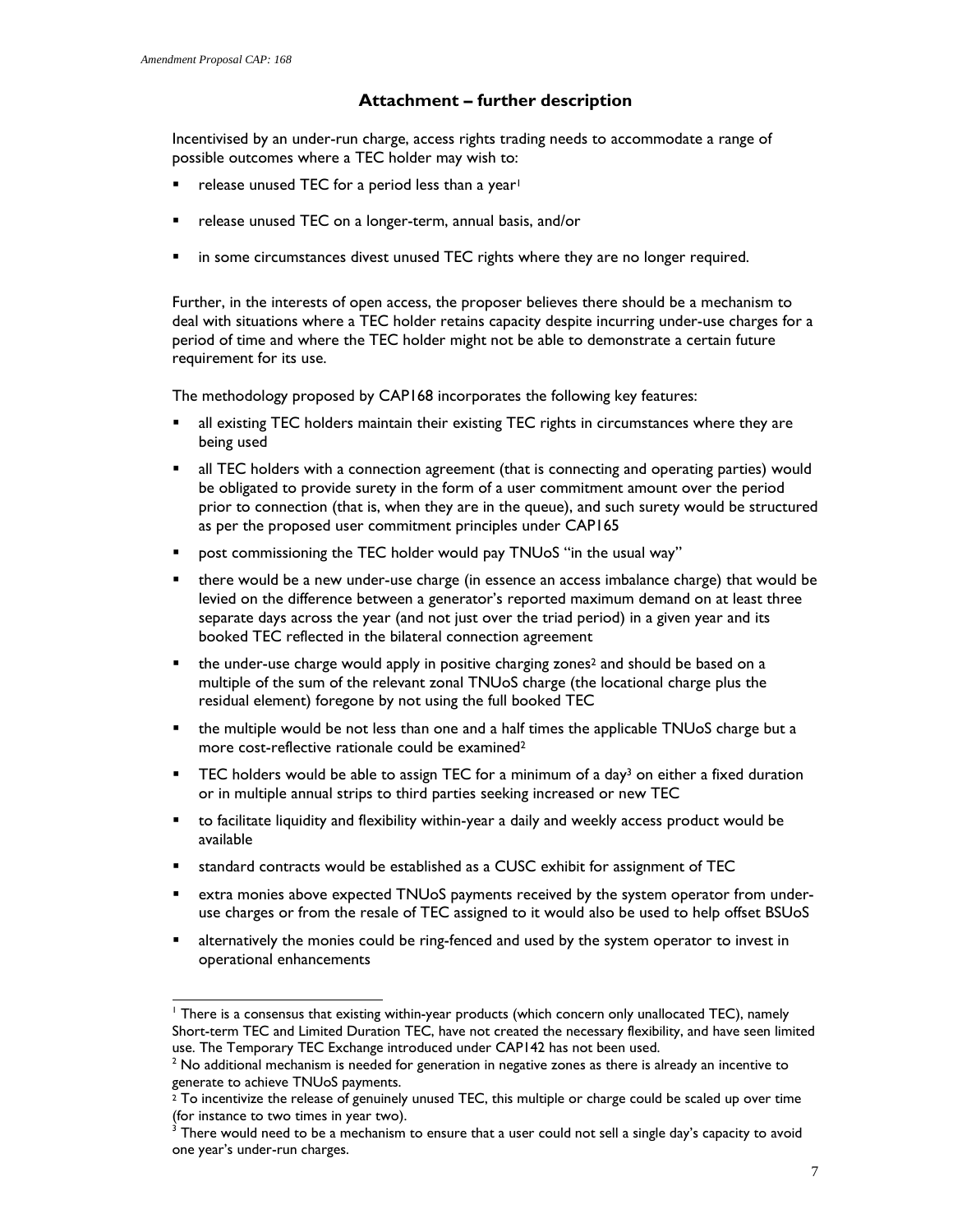# **Attachment – further description**

Incentivised by an under-run charge, access rights trading needs to accommodate a range of possible outcomes where a TEC holder may wish to:

- release unused TEC for a period less than a year!
- **F** release unused TEC on a longer-term, annual basis, and/or
- **In some circumstances divest unused TEC rights where they are no longer required.**

Further, in the interests of open access, the proposer believes there should be a mechanism to deal with situations where a TEC holder retains capacity despite incurring under-use charges for a period of time and where the TEC holder might not be able to demonstrate a certain future requirement for its use.

The methodology proposed by CAP168 incorporates the following key features:

- all existing TEC holders maintain their existing TEC rights in circumstances where they are being used
- all TEC holders with a connection agreement (that is connecting and operating parties) would be obligated to provide surety in the form of a user commitment amount over the period prior to connection (that is, when they are in the queue), and such surety would be structured as per the proposed user commitment principles under CAP165
- post commissioning the TEC holder would pay TNUoS "in the usual way"
- there would be a new under-use charge (in essence an access imbalance charge) that would be levied on the difference between a generator's reported maximum demand on at least three separate days across the year (and not just over the triad period) in a given year and its booked TEC reflected in the bilateral connection agreement
- $\blacksquare$  the under-use charge would apply in positive charging zones<sup>2</sup> and should be based on a multiple of the sum of the relevant zonal TNUoS charge (the locational charge plus the residual element) foregone by not using the full booked TEC
- the multiple would be not less than one and a half times the applicable TNUoS charge but a more cost-reflective rationale could be examined2
- **FILEC** holders would be able to assign TEC for a minimum of a day<sup>3</sup> on either a fixed duration or in multiple annual strips to third parties seeking increased or new TEC
- to facilitate liquidity and flexibility within-year a daily and weekly access product would be available
- standard contracts would be established as a CUSC exhibit for assignment of TEC
- extra monies above expected TNUoS payments received by the system operator from underuse charges or from the resale of TEC assigned to it would also be used to help offset BSUoS
- alternatively the monies could be ring-fenced and used by the system operator to invest in operational enhancements

l <sup>1</sup> There is a consensus that existing within-year products (which concern only unallocated TEC), namely Short-term TEC and Limited Duration TEC, have not created the necessary flexibility, and have seen limited use. The Temporary TEC Exchange introduced under CAP142 has not been used.

 $^2$  No additional mechanism is needed for generation in negative zones as there is already an incentive to generate to achieve TNUoS payments.

 $2^{2}$  To incentivize the release of genuinely unused TEC, this multiple or charge could be scaled up over time (for instance to two times in year two).

 $^3$  There would need to be a mechanism to ensure that a user could not sell a single day's capacity to avoid one year's under-run charges.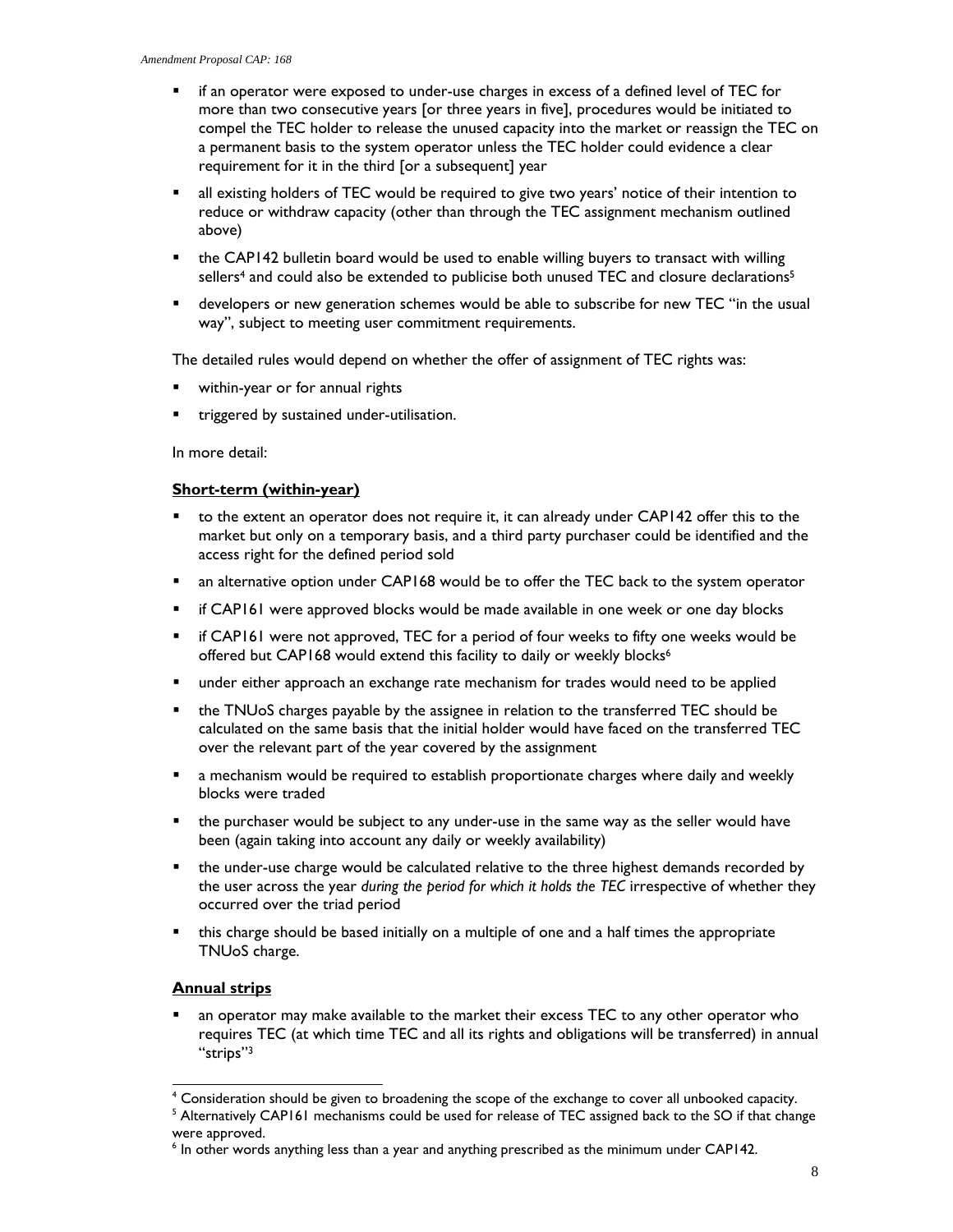- if an operator were exposed to under-use charges in excess of a defined level of TEC for more than two consecutive years [or three years in five], procedures would be initiated to compel the TEC holder to release the unused capacity into the market or reassign the TEC on a permanent basis to the system operator unless the TEC holder could evidence a clear requirement for it in the third [or a subsequent] year
- **a** all existing holders of TEC would be required to give two years' notice of their intention to reduce or withdraw capacity (other than through the TEC assignment mechanism outlined above)
- the CAP142 bulletin board would be used to enable willing buyers to transact with willing sellers<sup>4</sup> and could also be extended to publicise both unused TEC and closure declarations<sup>5</sup>
- developers or new generation schemes would be able to subscribe for new TEC "in the usual way", subject to meeting user commitment requirements.

The detailed rules would depend on whether the offer of assignment of TEC rights was:

- within-year or for annual rights
- triggered by sustained under-utilisation.

In more detail:

#### **Short-term (within-year)**

- to the extent an operator does not require it, it can already under CAP142 offer this to the market but only on a temporary basis, and a third party purchaser could be identified and the access right for the defined period sold
- **•** an alternative option under CAP168 would be to offer the TEC back to the system operator
- if CAP161 were approved blocks would be made available in one week or one day blocks
- if CAP161 were not approved, TEC for a period of four weeks to fifty one weeks would be offered but CAP168 would extend this facility to daily or weekly blocks<sup>6</sup>
- under either approach an exchange rate mechanism for trades would need to be applied
- the TNUoS charges payable by the assignee in relation to the transferred TEC should be calculated on the same basis that the initial holder would have faced on the transferred TEC over the relevant part of the year covered by the assignment
- **E** a mechanism would be required to establish proportionate charges where daily and weekly blocks were traded
- the purchaser would be subject to any under-use in the same way as the seller would have been (again taking into account any daily or weekly availability)
- the under-use charge would be calculated relative to the three highest demands recorded by the user across the year *during the period for which it holds the TEC* irrespective of whether they occurred over the triad period
- this charge should be based initially on a multiple of one and a half times the appropriate TNUoS charge.

### **Annual strips**

 an operator may make available to the market their excess TEC to any other operator who requires TEC (at which time TEC and all its rights and obligations will be transferred) in annual "strips"3

l 4 Consideration should be given to broadening the scope of the exchange to cover all unbooked capacity.

<sup>&</sup>lt;sup>5</sup> Alternatively CAP161 mechanisms could be used for release of TEC assigned back to the SO if that change were approved.

<sup>&</sup>lt;sup>6</sup> In other words anything less than a year and anything prescribed as the minimum under CAP142.